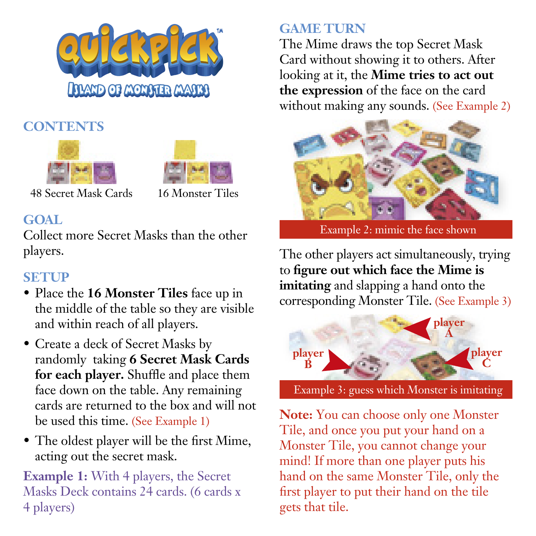

## **CONTENTS**





48 Secret Mask Cards 16 Monster Tiles

## **GOAL**

Collect more Secret Masks than the other players.

### **SETUP**

- Place the **16 Monster Tiles** face up in the middle of the table so they are visible and within reach of all players.
- Create a deck of Secret Masks by randomly taking **6 Secret Mask Cards**  for each player. Shuffle and place them face down on the table. Any remaining cards are returned to the box and will not be used this time. (See Example 1)
- The oldest player will be the first Mime, acting out the secret mask.

**Example 1:** With 4 players, the Secret Masks Deck contains 24 cards. (6 cards x 4 players)

# **GAME TURN**

The Mime draws the top Secret Mask Card without showing it to others. After looking at it, the **Mime tries to act out the expression** of the face on the card without making any sounds. (See Example 2)



Example 2: mimic the face shown

The other players act simultaneously, trying to **figure out which face the Mime is imitating** and slapping a hand onto the corresponding Monster Tile. (See Example 3)



Example 3: guess which Monster is imitating

**Note:** You can choose only one Monster Tile, and once you put your hand on a Monster Tile, you cannot change your mind! If more than one player puts his hand on the same Monster Tile, only the first player to put their hand on the tile gets that tile.